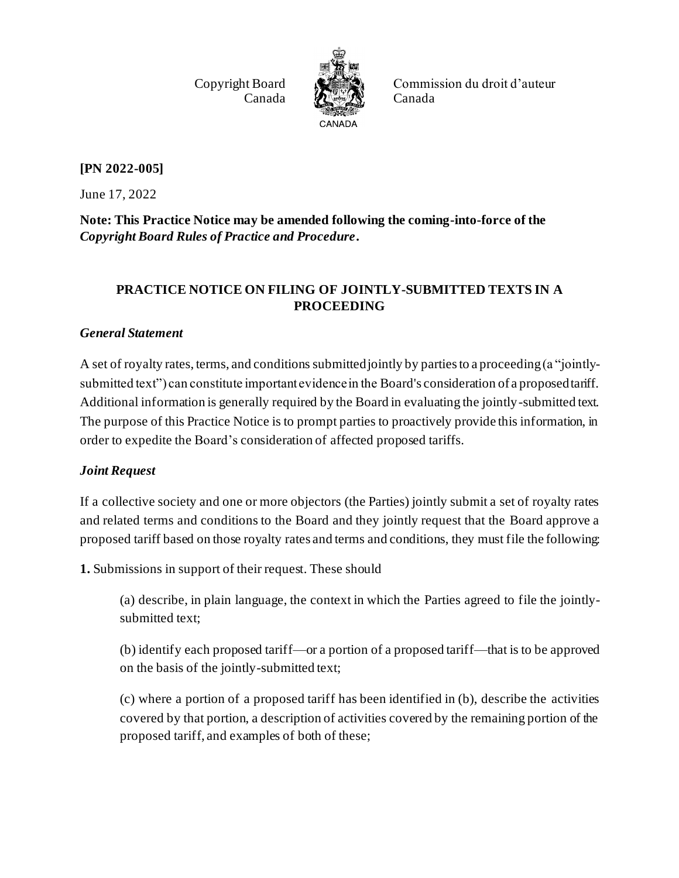Copyright Board Canada



Commission du droit d'auteur Canada

## **[PN 2022-005]**

June 17, 2022

**Note: This Practice Notice may be amended following the coming-into-force of the**  *Copyright Board Rules of Practice and Procedure***.**

## **PRACTICE NOTICE ON FILING OF JOINTLY-SUBMITTED TEXTS IN A PROCEEDING**

## *General Statement*

A set of royalty rates, terms, and conditions submitted jointly by parties to a proceeding (a "jointlysubmitted text") can constitute important evidence in the Board's consideration of a proposed tariff. Additional information is generally required by the Board in evaluating the jointly-submitted text. The purpose of this Practice Notice is to prompt parties to proactively provide this information, in order to expedite the Board's consideration of affected proposed tariffs.

## *Joint Request*

If a collective society and one or more objectors (the Parties) jointly submit a set of royalty rates and related terms and conditions to the Board and they jointly request that the Board approve a proposed tariff based on those royalty rates and terms and conditions, they must file the following:

**1.** Submissions in support of their request. These should

(a) describe, in plain language, the context in which the Parties agreed to file the jointlysubmitted text;

(b) identify each proposed tariff—or a portion of a proposed tariff—that is to be approved on the basis of the jointly-submitted text;

(c) where a portion of a proposed tariff has been identified in (b), describe the activities covered by that portion, a description of activities covered by the remaining portion of the proposed tariff, and examples of both of these;